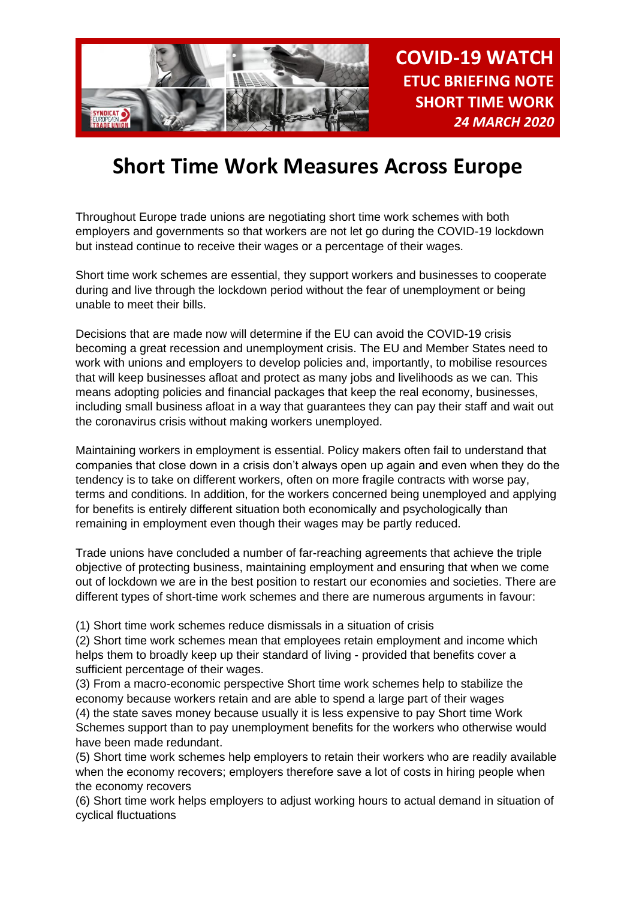

# **Short Time Work Measures Across Europe**

Throughout Europe trade unions are negotiating short time work schemes with both employers and governments so that workers are not let go during the COVID-19 lockdown but instead continue to receive their wages or a percentage of their wages.

Short time work schemes are essential, they support workers and businesses to cooperate during and live through the lockdown period without the fear of unemployment or being unable to meet their bills.

Decisions that are made now will determine if the EU can avoid the COVID-19 crisis becoming a great recession and unemployment crisis. The EU and Member States need to work with unions and employers to develop policies and, importantly, to mobilise resources that will keep businesses afloat and protect as many jobs and livelihoods as we can. This means adopting policies and financial packages that keep the real economy, businesses, including small business afloat in a way that guarantees they can pay their staff and wait out the coronavirus crisis without making workers unemployed.

Maintaining workers in employment is essential. Policy makers often fail to understand that companies that close down in a crisis don't always open up again and even when they do the tendency is to take on different workers, often on more fragile contracts with worse pay, terms and conditions. In addition, for the workers concerned being unemployed and applying for benefits is entirely different situation both economically and psychologically than remaining in employment even though their wages may be partly reduced.

Trade unions have concluded a number of far-reaching agreements that achieve the triple objective of protecting business, maintaining employment and ensuring that when we come out of lockdown we are in the best position to restart our economies and societies. There are different types of short-time work schemes and there are numerous arguments in favour:

(1) Short time work schemes reduce dismissals in a situation of crisis

(2) Short time work schemes mean that employees retain employment and income which helps them to broadly keep up their standard of living - provided that benefits cover a sufficient percentage of their wages.

(3) From a macro-economic perspective Short time work schemes help to stabilize the economy because workers retain and are able to spend a large part of their wages (4) the state saves money because usually it is less expensive to pay Short time Work Schemes support than to pay unemployment benefits for the workers who otherwise would have been made redundant.

(5) Short time work schemes help employers to retain their workers who are readily available when the economy recovers; employers therefore save a lot of costs in hiring people when the economy recovers

(6) Short time work helps employers to adjust working hours to actual demand in situation of cyclical fluctuations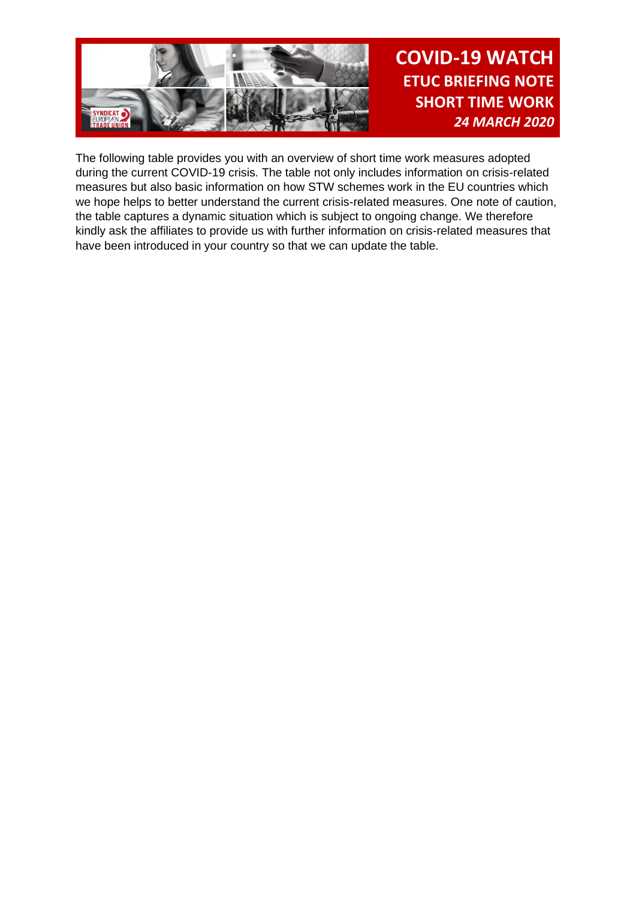

The following table provides you with an overview of short time work measures adopted during the current COVID-19 crisis. The table not only includes information on crisis-related measures but also basic information on how STW schemes work in the EU countries which we hope helps to better understand the current crisis-related measures. One note of caution, the table captures a dynamic situation which is subject to ongoing change. We therefore kindly ask the affiliates to provide us with further information on crisis-related measures that have been introduced in your country so that we can update the table.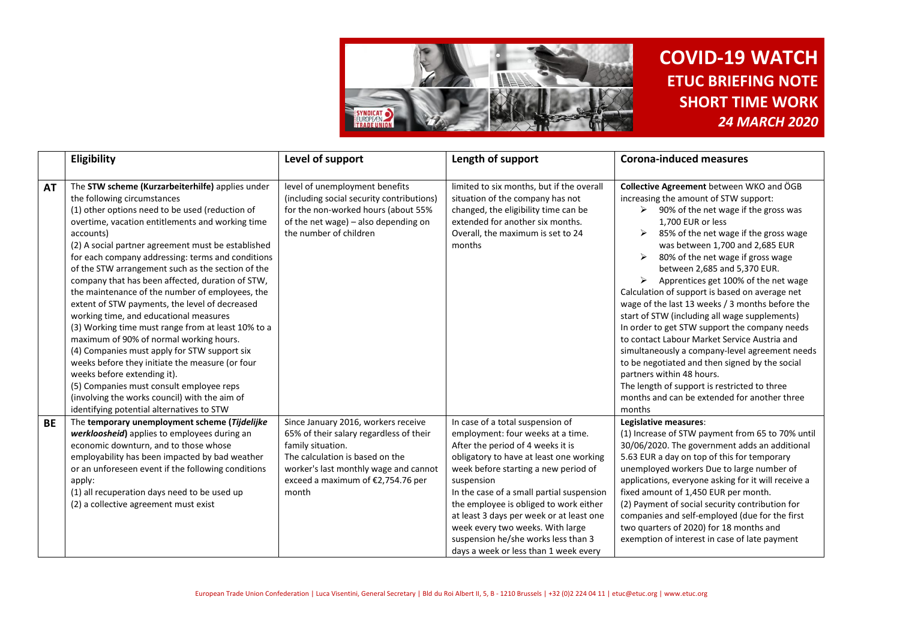

|           | Eligibility                                                                                                                                                                                                                                                                                                                                                                                                                                                                                                                                                                                                                                                                                                                                                                                                                                                                                                                                         | Level of support                                                                                                                                                                                                              | Length of support                                                                                                                                                                                                                                                                                                                                                                                                                                                  | <b>Corona-induced measures</b>                                                                                                                                                                                                                                                                                                                                                                                                                                                                                                                                                                                                                                                                                                                                                                                                                             |
|-----------|-----------------------------------------------------------------------------------------------------------------------------------------------------------------------------------------------------------------------------------------------------------------------------------------------------------------------------------------------------------------------------------------------------------------------------------------------------------------------------------------------------------------------------------------------------------------------------------------------------------------------------------------------------------------------------------------------------------------------------------------------------------------------------------------------------------------------------------------------------------------------------------------------------------------------------------------------------|-------------------------------------------------------------------------------------------------------------------------------------------------------------------------------------------------------------------------------|--------------------------------------------------------------------------------------------------------------------------------------------------------------------------------------------------------------------------------------------------------------------------------------------------------------------------------------------------------------------------------------------------------------------------------------------------------------------|------------------------------------------------------------------------------------------------------------------------------------------------------------------------------------------------------------------------------------------------------------------------------------------------------------------------------------------------------------------------------------------------------------------------------------------------------------------------------------------------------------------------------------------------------------------------------------------------------------------------------------------------------------------------------------------------------------------------------------------------------------------------------------------------------------------------------------------------------------|
| <b>AT</b> | The STW scheme (Kurzarbeiterhilfe) applies under<br>the following circumstances<br>(1) other options need to be used (reduction of<br>overtime, vacation entitlements and working time<br>accounts)<br>(2) A social partner agreement must be established<br>for each company addressing: terms and conditions<br>of the STW arrangement such as the section of the<br>company that has been affected, duration of STW,<br>the maintenance of the number of employees, the<br>extent of STW payments, the level of decreased<br>working time, and educational measures<br>(3) Working time must range from at least 10% to a<br>maximum of 90% of normal working hours.<br>(4) Companies must apply for STW support six<br>weeks before they initiate the measure (or four<br>weeks before extending it).<br>(5) Companies must consult employee reps<br>(involving the works council) with the aim of<br>identifying potential alternatives to STW | level of unemployment benefits<br>(including social security contributions)<br>for the non-worked hours (about 55%<br>of the net wage) - also depending on<br>the number of children                                          | limited to six months, but if the overall<br>situation of the company has not<br>changed, the eligibility time can be<br>extended for another six months.<br>Overall, the maximum is set to 24<br>months                                                                                                                                                                                                                                                           | Collective Agreement between WKO and ÖGB<br>increasing the amount of STW support:<br>$\triangleright$ 90% of the net wage if the gross was<br>1,700 EUR or less<br>85% of the net wage if the gross wage<br>was between 1,700 and 2,685 EUR<br>80% of the net wage if gross wage<br>between 2,685 and 5,370 EUR.<br>Apprentices get 100% of the net wage<br>Calculation of support is based on average net<br>wage of the last 13 weeks / 3 months before the<br>start of STW (including all wage supplements)<br>In order to get STW support the company needs<br>to contact Labour Market Service Austria and<br>simultaneously a company-level agreement needs<br>to be negotiated and then signed by the social<br>partners within 48 hours.<br>The length of support is restricted to three<br>months and can be extended for another three<br>months |
| <b>BE</b> | The temporary unemployment scheme (Tijdelijke<br>werkloosheid) applies to employees during an<br>economic downturn, and to those whose<br>employability has been impacted by bad weather<br>or an unforeseen event if the following conditions<br>apply:<br>(1) all recuperation days need to be used up<br>(2) a collective agreement must exist                                                                                                                                                                                                                                                                                                                                                                                                                                                                                                                                                                                                   | Since January 2016, workers receive<br>65% of their salary regardless of their<br>family situation.<br>The calculation is based on the<br>worker's last monthly wage and cannot<br>exceed a maximum of €2,754.76 per<br>month | In case of a total suspension of<br>employment: four weeks at a time.<br>After the period of 4 weeks it is<br>obligatory to have at least one working<br>week before starting a new period of<br>suspension<br>In the case of a small partial suspension<br>the employee is obliged to work either<br>at least 3 days per week or at least one<br>week every two weeks. With large<br>suspension he/she works less than 3<br>days a week or less than 1 week every | Legislative measures:<br>(1) Increase of STW payment from 65 to 70% until<br>30/06/2020. The government adds an additional<br>5.63 EUR a day on top of this for temporary<br>unemployed workers Due to large number of<br>applications, everyone asking for it will receive a<br>fixed amount of 1,450 EUR per month.<br>(2) Payment of social security contribution for<br>companies and self-employed (due for the first<br>two quarters of 2020) for 18 months and<br>exemption of interest in case of late payment                                                                                                                                                                                                                                                                                                                                     |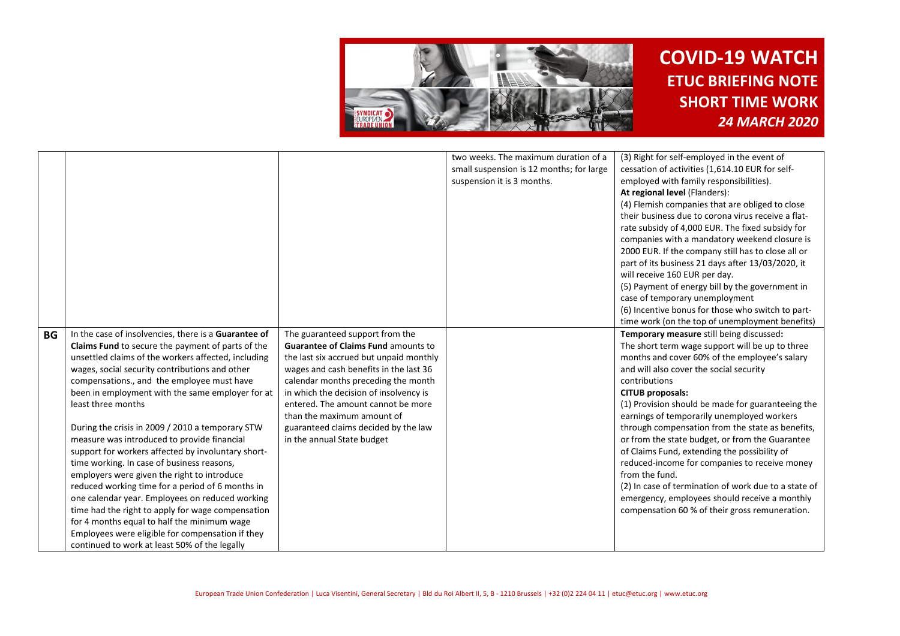

| cessation of activities (1,614.10 EUR for self-<br>small suspension is 12 months; for large<br>employed with family responsibilities).<br>suspension it is 3 months.<br>At regional level (Flanders):<br>(4) Flemish companies that are obliged to close<br>their business due to corona virus receive a flat-<br>rate subsidy of 4,000 EUR. The fixed subsidy for<br>companies with a mandatory weekend closure is<br>2000 EUR. If the company still has to close all or<br>part of its business 21 days after 13/03/2020, it<br>will receive 160 EUR per day.<br>(5) Payment of energy bill by the government in<br>case of temporary unemployment<br>(6) Incentive bonus for those who switch to part-<br>time work (on the top of unemployment benefits)<br>In the case of insolvencies, there is a Guarantee of<br>The guaranteed support from the<br>Temporary measure still being discussed:<br><b>BG</b><br>Claims Fund to secure the payment of parts of the<br><b>Guarantee of Claims Fund amounts to</b><br>The short term wage support will be up to three<br>unsettled claims of the workers affected, including<br>months and cover 60% of the employee's salary<br>the last six accrued but unpaid monthly<br>wages, social security contributions and other<br>wages and cash benefits in the last 36<br>and will also cover the social security<br>calendar months preceding the month<br>compensations., and the employee must have<br>contributions<br>in which the decision of insolvency is<br>been in employment with the same employer for at<br><b>CITUB proposals:</b><br>entered. The amount cannot be more<br>(1) Provision should be made for guaranteeing the<br>least three months<br>than the maximum amount of<br>earnings of temporarily unemployed workers<br>During the crisis in 2009 / 2010 a temporary STW<br>guaranteed claims decided by the law<br>through compensation from the state as benefits,<br>measure was introduced to provide financial<br>in the annual State budget<br>or from the state budget, or from the Guarantee<br>support for workers affected by involuntary short-<br>of Claims Fund, extending the possibility of<br>time working. In case of business reasons,<br>reduced-income for companies to receive money<br>from the fund.<br>employers were given the right to introduce<br>(2) In case of termination of work due to a state of<br>reduced working time for a period of 6 months in<br>one calendar year. Employees on reduced working<br>emergency, employees should receive a monthly<br>time had the right to apply for wage compensation<br>compensation 60 % of their gross remuneration.<br>for 4 months equal to half the minimum wage |                                                  |                                      |                                             |
|--------------------------------------------------------------------------------------------------------------------------------------------------------------------------------------------------------------------------------------------------------------------------------------------------------------------------------------------------------------------------------------------------------------------------------------------------------------------------------------------------------------------------------------------------------------------------------------------------------------------------------------------------------------------------------------------------------------------------------------------------------------------------------------------------------------------------------------------------------------------------------------------------------------------------------------------------------------------------------------------------------------------------------------------------------------------------------------------------------------------------------------------------------------------------------------------------------------------------------------------------------------------------------------------------------------------------------------------------------------------------------------------------------------------------------------------------------------------------------------------------------------------------------------------------------------------------------------------------------------------------------------------------------------------------------------------------------------------------------------------------------------------------------------------------------------------------------------------------------------------------------------------------------------------------------------------------------------------------------------------------------------------------------------------------------------------------------------------------------------------------------------------------------------------------------------------------------------------------------------------------------------------------------------------------------------------------------------------------------------------------------------------------------------------------------------------------------------------------------------------------------------------------------------------------------------------------------------------------------------------------------------------------------------------------------------------------------------------------|--------------------------------------------------|--------------------------------------|---------------------------------------------|
|                                                                                                                                                                                                                                                                                                                                                                                                                                                                                                                                                                                                                                                                                                                                                                                                                                                                                                                                                                                                                                                                                                                                                                                                                                                                                                                                                                                                                                                                                                                                                                                                                                                                                                                                                                                                                                                                                                                                                                                                                                                                                                                                                                                                                                                                                                                                                                                                                                                                                                                                                                                                                                                                                                                          |                                                  | two weeks. The maximum duration of a | (3) Right for self-employed in the event of |
|                                                                                                                                                                                                                                                                                                                                                                                                                                                                                                                                                                                                                                                                                                                                                                                                                                                                                                                                                                                                                                                                                                                                                                                                                                                                                                                                                                                                                                                                                                                                                                                                                                                                                                                                                                                                                                                                                                                                                                                                                                                                                                                                                                                                                                                                                                                                                                                                                                                                                                                                                                                                                                                                                                                          |                                                  |                                      |                                             |
|                                                                                                                                                                                                                                                                                                                                                                                                                                                                                                                                                                                                                                                                                                                                                                                                                                                                                                                                                                                                                                                                                                                                                                                                                                                                                                                                                                                                                                                                                                                                                                                                                                                                                                                                                                                                                                                                                                                                                                                                                                                                                                                                                                                                                                                                                                                                                                                                                                                                                                                                                                                                                                                                                                                          |                                                  |                                      |                                             |
|                                                                                                                                                                                                                                                                                                                                                                                                                                                                                                                                                                                                                                                                                                                                                                                                                                                                                                                                                                                                                                                                                                                                                                                                                                                                                                                                                                                                                                                                                                                                                                                                                                                                                                                                                                                                                                                                                                                                                                                                                                                                                                                                                                                                                                                                                                                                                                                                                                                                                                                                                                                                                                                                                                                          |                                                  |                                      |                                             |
|                                                                                                                                                                                                                                                                                                                                                                                                                                                                                                                                                                                                                                                                                                                                                                                                                                                                                                                                                                                                                                                                                                                                                                                                                                                                                                                                                                                                                                                                                                                                                                                                                                                                                                                                                                                                                                                                                                                                                                                                                                                                                                                                                                                                                                                                                                                                                                                                                                                                                                                                                                                                                                                                                                                          |                                                  |                                      |                                             |
|                                                                                                                                                                                                                                                                                                                                                                                                                                                                                                                                                                                                                                                                                                                                                                                                                                                                                                                                                                                                                                                                                                                                                                                                                                                                                                                                                                                                                                                                                                                                                                                                                                                                                                                                                                                                                                                                                                                                                                                                                                                                                                                                                                                                                                                                                                                                                                                                                                                                                                                                                                                                                                                                                                                          |                                                  |                                      |                                             |
|                                                                                                                                                                                                                                                                                                                                                                                                                                                                                                                                                                                                                                                                                                                                                                                                                                                                                                                                                                                                                                                                                                                                                                                                                                                                                                                                                                                                                                                                                                                                                                                                                                                                                                                                                                                                                                                                                                                                                                                                                                                                                                                                                                                                                                                                                                                                                                                                                                                                                                                                                                                                                                                                                                                          |                                                  |                                      |                                             |
|                                                                                                                                                                                                                                                                                                                                                                                                                                                                                                                                                                                                                                                                                                                                                                                                                                                                                                                                                                                                                                                                                                                                                                                                                                                                                                                                                                                                                                                                                                                                                                                                                                                                                                                                                                                                                                                                                                                                                                                                                                                                                                                                                                                                                                                                                                                                                                                                                                                                                                                                                                                                                                                                                                                          |                                                  |                                      |                                             |
|                                                                                                                                                                                                                                                                                                                                                                                                                                                                                                                                                                                                                                                                                                                                                                                                                                                                                                                                                                                                                                                                                                                                                                                                                                                                                                                                                                                                                                                                                                                                                                                                                                                                                                                                                                                                                                                                                                                                                                                                                                                                                                                                                                                                                                                                                                                                                                                                                                                                                                                                                                                                                                                                                                                          |                                                  |                                      |                                             |
|                                                                                                                                                                                                                                                                                                                                                                                                                                                                                                                                                                                                                                                                                                                                                                                                                                                                                                                                                                                                                                                                                                                                                                                                                                                                                                                                                                                                                                                                                                                                                                                                                                                                                                                                                                                                                                                                                                                                                                                                                                                                                                                                                                                                                                                                                                                                                                                                                                                                                                                                                                                                                                                                                                                          |                                                  |                                      |                                             |
|                                                                                                                                                                                                                                                                                                                                                                                                                                                                                                                                                                                                                                                                                                                                                                                                                                                                                                                                                                                                                                                                                                                                                                                                                                                                                                                                                                                                                                                                                                                                                                                                                                                                                                                                                                                                                                                                                                                                                                                                                                                                                                                                                                                                                                                                                                                                                                                                                                                                                                                                                                                                                                                                                                                          |                                                  |                                      |                                             |
|                                                                                                                                                                                                                                                                                                                                                                                                                                                                                                                                                                                                                                                                                                                                                                                                                                                                                                                                                                                                                                                                                                                                                                                                                                                                                                                                                                                                                                                                                                                                                                                                                                                                                                                                                                                                                                                                                                                                                                                                                                                                                                                                                                                                                                                                                                                                                                                                                                                                                                                                                                                                                                                                                                                          |                                                  |                                      |                                             |
|                                                                                                                                                                                                                                                                                                                                                                                                                                                                                                                                                                                                                                                                                                                                                                                                                                                                                                                                                                                                                                                                                                                                                                                                                                                                                                                                                                                                                                                                                                                                                                                                                                                                                                                                                                                                                                                                                                                                                                                                                                                                                                                                                                                                                                                                                                                                                                                                                                                                                                                                                                                                                                                                                                                          |                                                  |                                      |                                             |
|                                                                                                                                                                                                                                                                                                                                                                                                                                                                                                                                                                                                                                                                                                                                                                                                                                                                                                                                                                                                                                                                                                                                                                                                                                                                                                                                                                                                                                                                                                                                                                                                                                                                                                                                                                                                                                                                                                                                                                                                                                                                                                                                                                                                                                                                                                                                                                                                                                                                                                                                                                                                                                                                                                                          |                                                  |                                      |                                             |
|                                                                                                                                                                                                                                                                                                                                                                                                                                                                                                                                                                                                                                                                                                                                                                                                                                                                                                                                                                                                                                                                                                                                                                                                                                                                                                                                                                                                                                                                                                                                                                                                                                                                                                                                                                                                                                                                                                                                                                                                                                                                                                                                                                                                                                                                                                                                                                                                                                                                                                                                                                                                                                                                                                                          |                                                  |                                      |                                             |
|                                                                                                                                                                                                                                                                                                                                                                                                                                                                                                                                                                                                                                                                                                                                                                                                                                                                                                                                                                                                                                                                                                                                                                                                                                                                                                                                                                                                                                                                                                                                                                                                                                                                                                                                                                                                                                                                                                                                                                                                                                                                                                                                                                                                                                                                                                                                                                                                                                                                                                                                                                                                                                                                                                                          |                                                  |                                      |                                             |
|                                                                                                                                                                                                                                                                                                                                                                                                                                                                                                                                                                                                                                                                                                                                                                                                                                                                                                                                                                                                                                                                                                                                                                                                                                                                                                                                                                                                                                                                                                                                                                                                                                                                                                                                                                                                                                                                                                                                                                                                                                                                                                                                                                                                                                                                                                                                                                                                                                                                                                                                                                                                                                                                                                                          |                                                  |                                      |                                             |
|                                                                                                                                                                                                                                                                                                                                                                                                                                                                                                                                                                                                                                                                                                                                                                                                                                                                                                                                                                                                                                                                                                                                                                                                                                                                                                                                                                                                                                                                                                                                                                                                                                                                                                                                                                                                                                                                                                                                                                                                                                                                                                                                                                                                                                                                                                                                                                                                                                                                                                                                                                                                                                                                                                                          |                                                  |                                      |                                             |
|                                                                                                                                                                                                                                                                                                                                                                                                                                                                                                                                                                                                                                                                                                                                                                                                                                                                                                                                                                                                                                                                                                                                                                                                                                                                                                                                                                                                                                                                                                                                                                                                                                                                                                                                                                                                                                                                                                                                                                                                                                                                                                                                                                                                                                                                                                                                                                                                                                                                                                                                                                                                                                                                                                                          |                                                  |                                      |                                             |
|                                                                                                                                                                                                                                                                                                                                                                                                                                                                                                                                                                                                                                                                                                                                                                                                                                                                                                                                                                                                                                                                                                                                                                                                                                                                                                                                                                                                                                                                                                                                                                                                                                                                                                                                                                                                                                                                                                                                                                                                                                                                                                                                                                                                                                                                                                                                                                                                                                                                                                                                                                                                                                                                                                                          |                                                  |                                      |                                             |
|                                                                                                                                                                                                                                                                                                                                                                                                                                                                                                                                                                                                                                                                                                                                                                                                                                                                                                                                                                                                                                                                                                                                                                                                                                                                                                                                                                                                                                                                                                                                                                                                                                                                                                                                                                                                                                                                                                                                                                                                                                                                                                                                                                                                                                                                                                                                                                                                                                                                                                                                                                                                                                                                                                                          |                                                  |                                      |                                             |
|                                                                                                                                                                                                                                                                                                                                                                                                                                                                                                                                                                                                                                                                                                                                                                                                                                                                                                                                                                                                                                                                                                                                                                                                                                                                                                                                                                                                                                                                                                                                                                                                                                                                                                                                                                                                                                                                                                                                                                                                                                                                                                                                                                                                                                                                                                                                                                                                                                                                                                                                                                                                                                                                                                                          |                                                  |                                      |                                             |
|                                                                                                                                                                                                                                                                                                                                                                                                                                                                                                                                                                                                                                                                                                                                                                                                                                                                                                                                                                                                                                                                                                                                                                                                                                                                                                                                                                                                                                                                                                                                                                                                                                                                                                                                                                                                                                                                                                                                                                                                                                                                                                                                                                                                                                                                                                                                                                                                                                                                                                                                                                                                                                                                                                                          |                                                  |                                      |                                             |
|                                                                                                                                                                                                                                                                                                                                                                                                                                                                                                                                                                                                                                                                                                                                                                                                                                                                                                                                                                                                                                                                                                                                                                                                                                                                                                                                                                                                                                                                                                                                                                                                                                                                                                                                                                                                                                                                                                                                                                                                                                                                                                                                                                                                                                                                                                                                                                                                                                                                                                                                                                                                                                                                                                                          |                                                  |                                      |                                             |
|                                                                                                                                                                                                                                                                                                                                                                                                                                                                                                                                                                                                                                                                                                                                                                                                                                                                                                                                                                                                                                                                                                                                                                                                                                                                                                                                                                                                                                                                                                                                                                                                                                                                                                                                                                                                                                                                                                                                                                                                                                                                                                                                                                                                                                                                                                                                                                                                                                                                                                                                                                                                                                                                                                                          |                                                  |                                      |                                             |
|                                                                                                                                                                                                                                                                                                                                                                                                                                                                                                                                                                                                                                                                                                                                                                                                                                                                                                                                                                                                                                                                                                                                                                                                                                                                                                                                                                                                                                                                                                                                                                                                                                                                                                                                                                                                                                                                                                                                                                                                                                                                                                                                                                                                                                                                                                                                                                                                                                                                                                                                                                                                                                                                                                                          |                                                  |                                      |                                             |
|                                                                                                                                                                                                                                                                                                                                                                                                                                                                                                                                                                                                                                                                                                                                                                                                                                                                                                                                                                                                                                                                                                                                                                                                                                                                                                                                                                                                                                                                                                                                                                                                                                                                                                                                                                                                                                                                                                                                                                                                                                                                                                                                                                                                                                                                                                                                                                                                                                                                                                                                                                                                                                                                                                                          |                                                  |                                      |                                             |
|                                                                                                                                                                                                                                                                                                                                                                                                                                                                                                                                                                                                                                                                                                                                                                                                                                                                                                                                                                                                                                                                                                                                                                                                                                                                                                                                                                                                                                                                                                                                                                                                                                                                                                                                                                                                                                                                                                                                                                                                                                                                                                                                                                                                                                                                                                                                                                                                                                                                                                                                                                                                                                                                                                                          |                                                  |                                      |                                             |
|                                                                                                                                                                                                                                                                                                                                                                                                                                                                                                                                                                                                                                                                                                                                                                                                                                                                                                                                                                                                                                                                                                                                                                                                                                                                                                                                                                                                                                                                                                                                                                                                                                                                                                                                                                                                                                                                                                                                                                                                                                                                                                                                                                                                                                                                                                                                                                                                                                                                                                                                                                                                                                                                                                                          |                                                  |                                      |                                             |
|                                                                                                                                                                                                                                                                                                                                                                                                                                                                                                                                                                                                                                                                                                                                                                                                                                                                                                                                                                                                                                                                                                                                                                                                                                                                                                                                                                                                                                                                                                                                                                                                                                                                                                                                                                                                                                                                                                                                                                                                                                                                                                                                                                                                                                                                                                                                                                                                                                                                                                                                                                                                                                                                                                                          |                                                  |                                      |                                             |
|                                                                                                                                                                                                                                                                                                                                                                                                                                                                                                                                                                                                                                                                                                                                                                                                                                                                                                                                                                                                                                                                                                                                                                                                                                                                                                                                                                                                                                                                                                                                                                                                                                                                                                                                                                                                                                                                                                                                                                                                                                                                                                                                                                                                                                                                                                                                                                                                                                                                                                                                                                                                                                                                                                                          |                                                  |                                      |                                             |
|                                                                                                                                                                                                                                                                                                                                                                                                                                                                                                                                                                                                                                                                                                                                                                                                                                                                                                                                                                                                                                                                                                                                                                                                                                                                                                                                                                                                                                                                                                                                                                                                                                                                                                                                                                                                                                                                                                                                                                                                                                                                                                                                                                                                                                                                                                                                                                                                                                                                                                                                                                                                                                                                                                                          |                                                  |                                      |                                             |
|                                                                                                                                                                                                                                                                                                                                                                                                                                                                                                                                                                                                                                                                                                                                                                                                                                                                                                                                                                                                                                                                                                                                                                                                                                                                                                                                                                                                                                                                                                                                                                                                                                                                                                                                                                                                                                                                                                                                                                                                                                                                                                                                                                                                                                                                                                                                                                                                                                                                                                                                                                                                                                                                                                                          | Employees were eligible for compensation if they |                                      |                                             |
| continued to work at least 50% of the legally                                                                                                                                                                                                                                                                                                                                                                                                                                                                                                                                                                                                                                                                                                                                                                                                                                                                                                                                                                                                                                                                                                                                                                                                                                                                                                                                                                                                                                                                                                                                                                                                                                                                                                                                                                                                                                                                                                                                                                                                                                                                                                                                                                                                                                                                                                                                                                                                                                                                                                                                                                                                                                                                            |                                                  |                                      |                                             |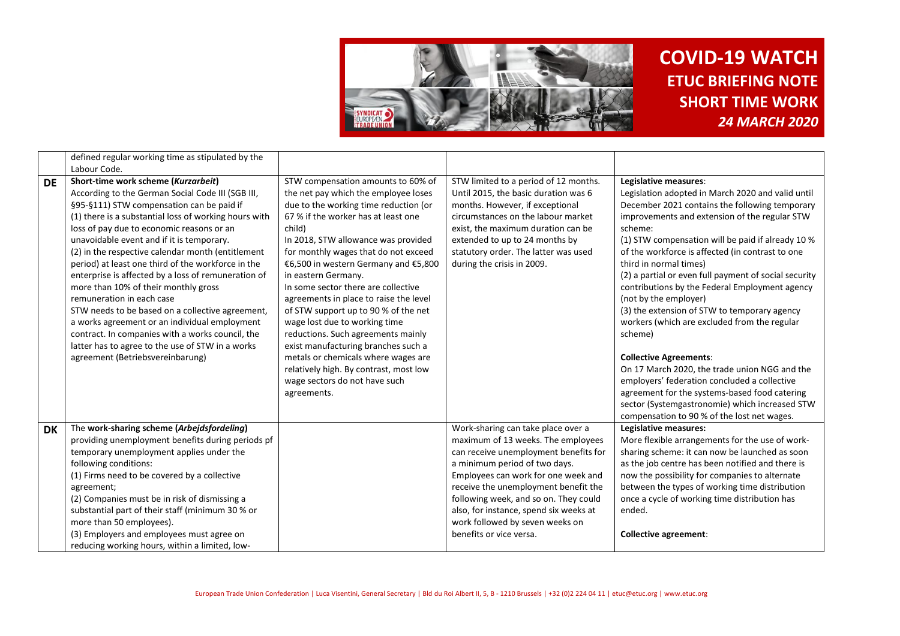

|           | defined regular working time as stipulated by the                                                                                                                                                                                                                                                                                                                                                                                                                                                                                                                                                                                                                                                                                                                                |                                                                                                                                                                                                                                                                                                                                                                                                                                                                                                                                                                                                  |                                                                                                                                                                                                                                                                                                                                                                                    |                                                                                                                                                                                                                                                                                                                                                                                                                                                                                                                                                                                                             |
|-----------|----------------------------------------------------------------------------------------------------------------------------------------------------------------------------------------------------------------------------------------------------------------------------------------------------------------------------------------------------------------------------------------------------------------------------------------------------------------------------------------------------------------------------------------------------------------------------------------------------------------------------------------------------------------------------------------------------------------------------------------------------------------------------------|--------------------------------------------------------------------------------------------------------------------------------------------------------------------------------------------------------------------------------------------------------------------------------------------------------------------------------------------------------------------------------------------------------------------------------------------------------------------------------------------------------------------------------------------------------------------------------------------------|------------------------------------------------------------------------------------------------------------------------------------------------------------------------------------------------------------------------------------------------------------------------------------------------------------------------------------------------------------------------------------|-------------------------------------------------------------------------------------------------------------------------------------------------------------------------------------------------------------------------------------------------------------------------------------------------------------------------------------------------------------------------------------------------------------------------------------------------------------------------------------------------------------------------------------------------------------------------------------------------------------|
|           | Labour Code.                                                                                                                                                                                                                                                                                                                                                                                                                                                                                                                                                                                                                                                                                                                                                                     |                                                                                                                                                                                                                                                                                                                                                                                                                                                                                                                                                                                                  |                                                                                                                                                                                                                                                                                                                                                                                    |                                                                                                                                                                                                                                                                                                                                                                                                                                                                                                                                                                                                             |
| <b>DE</b> | Short-time work scheme (Kurzarbeit)<br>According to the German Social Code III (SGB III,<br>§95-§111) STW compensation can be paid if<br>(1) there is a substantial loss of working hours with<br>loss of pay due to economic reasons or an<br>unavoidable event and if it is temporary.<br>(2) in the respective calendar month (entitlement<br>period) at least one third of the workforce in the<br>enterprise is affected by a loss of remuneration of<br>more than 10% of their monthly gross<br>remuneration in each case<br>STW needs to be based on a collective agreement,<br>a works agreement or an individual employment<br>contract. In companies with a works council, the<br>latter has to agree to the use of STW in a works<br>agreement (Betriebsvereinbarung) | STW compensation amounts to 60% of<br>the net pay which the employee loses<br>due to the working time reduction (or<br>67 % if the worker has at least one<br>child)<br>In 2018, STW allowance was provided<br>for monthly wages that do not exceed<br>€6,500 in western Germany and €5,800<br>in eastern Germany.<br>In some sector there are collective<br>agreements in place to raise the level<br>of STW support up to 90 % of the net<br>wage lost due to working time<br>reductions. Such agreements mainly<br>exist manufacturing branches such a<br>metals or chemicals where wages are | STW limited to a period of 12 months.<br>Until 2015, the basic duration was 6<br>months. However, if exceptional<br>circumstances on the labour market<br>exist, the maximum duration can be<br>extended to up to 24 months by<br>statutory order. The latter was used<br>during the crisis in 2009.                                                                               | Legislative measures:<br>Legislation adopted in March 2020 and valid until<br>December 2021 contains the following temporary<br>improvements and extension of the regular STW<br>scheme:<br>(1) STW compensation will be paid if already 10 %<br>of the workforce is affected (in contrast to one<br>third in normal times)<br>(2) a partial or even full payment of social security<br>contributions by the Federal Employment agency<br>(not by the employer)<br>(3) the extension of STW to temporary agency<br>workers (which are excluded from the regular<br>scheme)<br><b>Collective Agreements:</b> |
|           |                                                                                                                                                                                                                                                                                                                                                                                                                                                                                                                                                                                                                                                                                                                                                                                  | relatively high. By contrast, most low<br>wage sectors do not have such<br>agreements.                                                                                                                                                                                                                                                                                                                                                                                                                                                                                                           |                                                                                                                                                                                                                                                                                                                                                                                    | On 17 March 2020, the trade union NGG and the<br>employers' federation concluded a collective<br>agreement for the systems-based food catering<br>sector (Systemgastronomie) which increased STW<br>compensation to 90 % of the lost net wages.                                                                                                                                                                                                                                                                                                                                                             |
| <b>DK</b> | The work-sharing scheme (Arbejdsfordeling)<br>providing unemployment benefits during periods pf<br>temporary unemployment applies under the<br>following conditions:<br>(1) Firms need to be covered by a collective<br>agreement;<br>(2) Companies must be in risk of dismissing a<br>substantial part of their staff (minimum 30 % or<br>more than 50 employees).<br>(3) Employers and employees must agree on<br>reducing working hours, within a limited, low-                                                                                                                                                                                                                                                                                                               |                                                                                                                                                                                                                                                                                                                                                                                                                                                                                                                                                                                                  | Work-sharing can take place over a<br>maximum of 13 weeks. The employees<br>can receive unemployment benefits for<br>a minimum period of two days.<br>Employees can work for one week and<br>receive the unemployment benefit the<br>following week, and so on. They could<br>also, for instance, spend six weeks at<br>work followed by seven weeks on<br>benefits or vice versa. | Legislative measures:<br>More flexible arrangements for the use of work-<br>sharing scheme: it can now be launched as soon<br>as the job centre has been notified and there is<br>now the possibility for companies to alternate<br>between the types of working time distribution<br>once a cycle of working time distribution has<br>ended.<br><b>Collective agreement:</b>                                                                                                                                                                                                                               |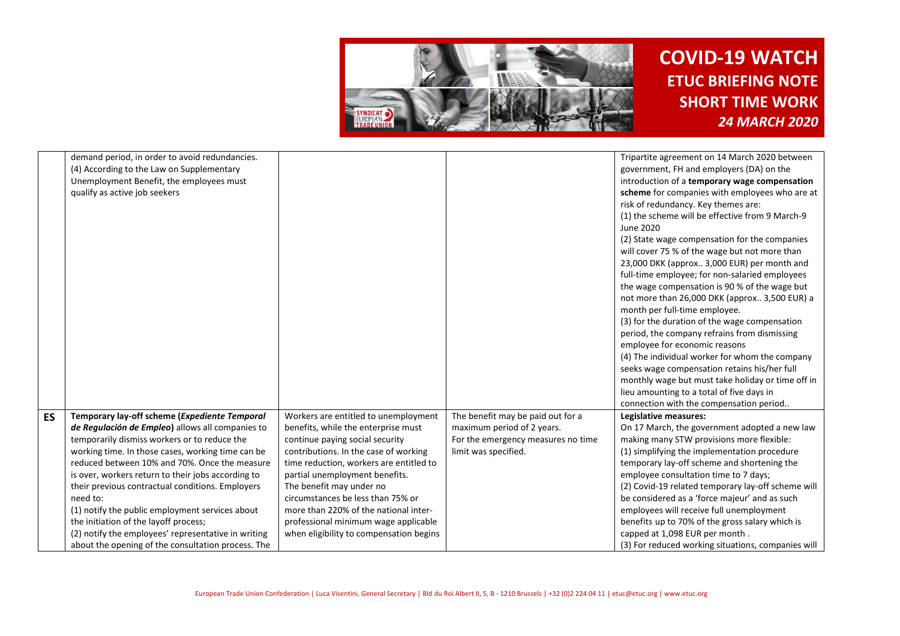

|           | demand period, in order to avoid redundancies.      |                                         |                                    | Tripartite agreement on 14 March 2020 between      |
|-----------|-----------------------------------------------------|-----------------------------------------|------------------------------------|----------------------------------------------------|
|           | (4) According to the Law on Supplementary           |                                         |                                    | government, FH and employers (DA) on the           |
|           | Unemployment Benefit, the employees must            |                                         |                                    | introduction of a temporary wage compensation      |
|           | qualify as active job seekers                       |                                         |                                    | scheme for companies with employees who are at     |
|           |                                                     |                                         |                                    | risk of redundancy. Key themes are:                |
|           |                                                     |                                         |                                    | (1) the scheme will be effective from 9 March-9    |
|           |                                                     |                                         |                                    | June 2020                                          |
|           |                                                     |                                         |                                    | (2) State wage compensation for the companies      |
|           |                                                     |                                         |                                    | will cover 75 % of the wage but not more than      |
|           |                                                     |                                         |                                    | 23,000 DKK (approx 3,000 EUR) per month and        |
|           |                                                     |                                         |                                    | full-time employee; for non-salaried employees     |
|           |                                                     |                                         |                                    | the wage compensation is 90 % of the wage but      |
|           |                                                     |                                         |                                    | not more than 26,000 DKK (approx 3,500 EUR) a      |
|           |                                                     |                                         |                                    | month per full-time employee.                      |
|           |                                                     |                                         |                                    | (3) for the duration of the wage compensation      |
|           |                                                     |                                         |                                    | period, the company refrains from dismissing       |
|           |                                                     |                                         |                                    | employee for economic reasons                      |
|           |                                                     |                                         |                                    | (4) The individual worker for whom the company     |
|           |                                                     |                                         |                                    | seeks wage compensation retains his/her full       |
|           |                                                     |                                         |                                    | monthly wage but must take holiday or time off in  |
|           |                                                     |                                         |                                    | lieu amounting to a total of five days in          |
|           |                                                     |                                         |                                    | connection with the compensation period            |
| <b>ES</b> | Temporary lay-off scheme (Expediente Temporal       | Workers are entitled to unemployment    | The benefit may be paid out for a  | Legislative measures:                              |
|           | de Regulación de Empleo) allows all companies to    | benefits, while the enterprise must     | maximum period of 2 years.         | On 17 March, the government adopted a new law      |
|           | temporarily dismiss workers or to reduce the        | continue paying social security         | For the emergency measures no time | making many STW provisions more flexible:          |
|           | working time. In those cases, working time can be   | contributions. In the case of working   | limit was specified.               | (1) simplifying the implementation procedure       |
|           | reduced between 10% and 70%. Once the measure       | time reduction, workers are entitled to |                                    | temporary lay-off scheme and shortening the        |
|           | is over, workers return to their jobs according to  | partial unemployment benefits.          |                                    | employee consultation time to 7 days;              |
|           | their previous contractual conditions. Employers    | The benefit may under no                |                                    | (2) Covid-19 related temporary lay-off scheme will |
|           | need to:                                            | circumstances be less than 75% or       |                                    | be considered as a 'force majeur' and as such      |
|           | (1) notify the public employment services about     | more than 220% of the national inter-   |                                    | employees will receive full unemployment           |
|           | the initiation of the layoff process;               | professional minimum wage applicable    |                                    | benefits up to 70% of the gross salary which is    |
|           | (2) notify the employees' representative in writing | when eligibility to compensation begins |                                    | capped at 1,098 EUR per month.                     |
|           | about the opening of the consultation process. The  |                                         |                                    | (3) For reduced working situations, companies will |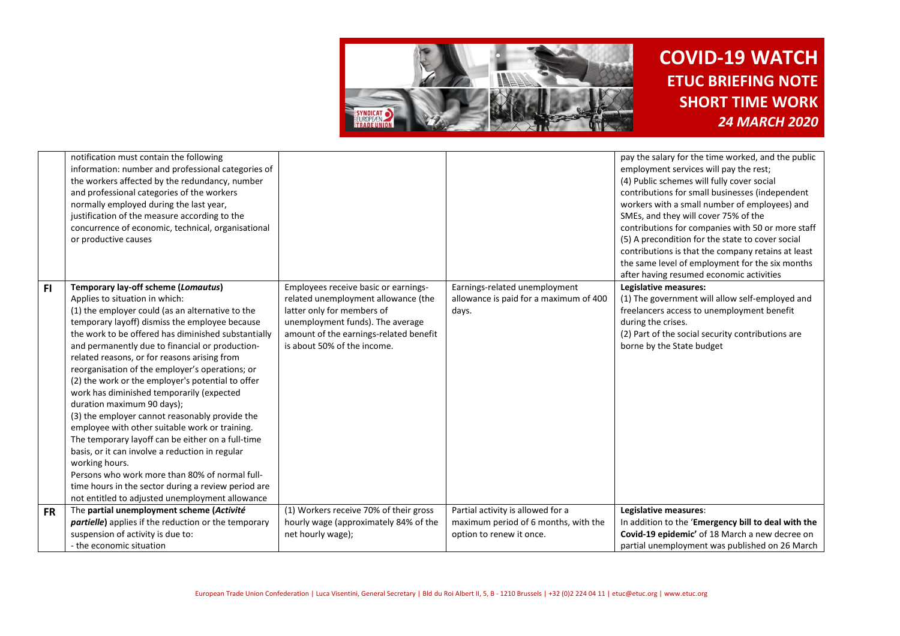

|           | notification must contain the following<br>information: number and professional categories of<br>the workers affected by the redundancy, number<br>and professional categories of the workers<br>normally employed during the last year,<br>justification of the measure according to the<br>concurrence of economic, technical, organisational<br>or productive causes                                                                                                                                                                                                                                                                                                                                                                                                                                                                                                                                            |                                                                                                                                                                                                                        |                                                                                                       | pay the salary for the time worked, and the public<br>employment services will pay the rest;<br>(4) Public schemes will fully cover social<br>contributions for small businesses (independent<br>workers with a small number of employees) and<br>SMEs, and they will cover 75% of the<br>contributions for companies with 50 or more staff<br>(5) A precondition for the state to cover social<br>contributions is that the company retains at least<br>the same level of employment for the six months<br>after having resumed economic activities |
|-----------|--------------------------------------------------------------------------------------------------------------------------------------------------------------------------------------------------------------------------------------------------------------------------------------------------------------------------------------------------------------------------------------------------------------------------------------------------------------------------------------------------------------------------------------------------------------------------------------------------------------------------------------------------------------------------------------------------------------------------------------------------------------------------------------------------------------------------------------------------------------------------------------------------------------------|------------------------------------------------------------------------------------------------------------------------------------------------------------------------------------------------------------------------|-------------------------------------------------------------------------------------------------------|------------------------------------------------------------------------------------------------------------------------------------------------------------------------------------------------------------------------------------------------------------------------------------------------------------------------------------------------------------------------------------------------------------------------------------------------------------------------------------------------------------------------------------------------------|
| FI.       | Temporary lay-off scheme (Lomautus)<br>Applies to situation in which:<br>(1) the employer could (as an alternative to the<br>temporary layoff) dismiss the employee because<br>the work to be offered has diminished substantially<br>and permanently due to financial or production-<br>related reasons, or for reasons arising from<br>reorganisation of the employer's operations; or<br>(2) the work or the employer's potential to offer<br>work has diminished temporarily (expected<br>duration maximum 90 days);<br>(3) the employer cannot reasonably provide the<br>employee with other suitable work or training.<br>The temporary layoff can be either on a full-time<br>basis, or it can involve a reduction in regular<br>working hours.<br>Persons who work more than 80% of normal full-<br>time hours in the sector during a review period are<br>not entitled to adjusted unemployment allowance | Employees receive basic or earnings-<br>related unemployment allowance (the<br>latter only for members of<br>unemployment funds). The average<br>amount of the earnings-related benefit<br>is about 50% of the income. | Earnings-related unemployment<br>allowance is paid for a maximum of 400<br>days.                      | Legislative measures:<br>(1) The government will allow self-employed and<br>freelancers access to unemployment benefit<br>during the crises.<br>(2) Part of the social security contributions are<br>borne by the State budget                                                                                                                                                                                                                                                                                                                       |
| <b>FR</b> | The partial unemployment scheme (Activité<br><i>partielle</i> ) applies if the reduction or the temporary<br>suspension of activity is due to:<br>- the economic situation                                                                                                                                                                                                                                                                                                                                                                                                                                                                                                                                                                                                                                                                                                                                         | (1) Workers receive 70% of their gross<br>hourly wage (approximately 84% of the<br>net hourly wage);                                                                                                                   | Partial activity is allowed for a<br>maximum period of 6 months, with the<br>option to renew it once. | Legislative measures:<br>In addition to the 'Emergency bill to deal with the<br>Covid-19 epidemic' of 18 March a new decree on<br>partial unemployment was published on 26 March                                                                                                                                                                                                                                                                                                                                                                     |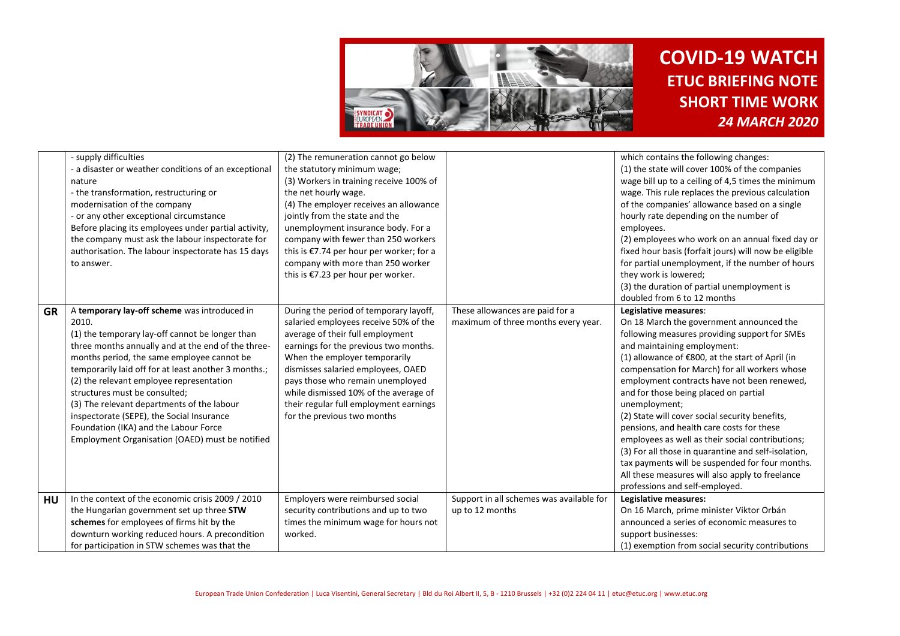

|           | - supply difficulties<br>- a disaster or weather conditions of an exceptional<br>nature<br>- the transformation, restructuring or<br>modernisation of the company<br>- or any other exceptional circumstance<br>Before placing its employees under partial activity,<br>the company must ask the labour inspectorate for<br>authorisation. The labour inspectorate has 15 days<br>to answer.                                                                                                                                             | (2) The remuneration cannot go below<br>the statutory minimum wage;<br>(3) Workers in training receive 100% of<br>the net hourly wage.<br>(4) The employer receives an allowance<br>jointly from the state and the<br>unemployment insurance body. For a<br>company with fewer than 250 workers<br>this is €7.74 per hour per worker; for a<br>company with more than 250 worker<br>this is €7.23 per hour per worker. |                                                                        | which contains the following changes:<br>(1) the state will cover 100% of the companies<br>wage bill up to a ceiling of 4,5 times the minimum<br>wage. This rule replaces the previous calculation<br>of the companies' allowance based on a single<br>hourly rate depending on the number of<br>employees.<br>(2) employees who work on an annual fixed day or<br>fixed hour basis (forfait jours) will now be eligible<br>for partial unemployment, if the number of hours<br>they work is lowered;<br>(3) the duration of partial unemployment is<br>doubled from 6 to 12 months                                                                                                                                         |
|-----------|------------------------------------------------------------------------------------------------------------------------------------------------------------------------------------------------------------------------------------------------------------------------------------------------------------------------------------------------------------------------------------------------------------------------------------------------------------------------------------------------------------------------------------------|------------------------------------------------------------------------------------------------------------------------------------------------------------------------------------------------------------------------------------------------------------------------------------------------------------------------------------------------------------------------------------------------------------------------|------------------------------------------------------------------------|-----------------------------------------------------------------------------------------------------------------------------------------------------------------------------------------------------------------------------------------------------------------------------------------------------------------------------------------------------------------------------------------------------------------------------------------------------------------------------------------------------------------------------------------------------------------------------------------------------------------------------------------------------------------------------------------------------------------------------|
| <b>GR</b> | A temporary lay-off scheme was introduced in<br>2010.<br>(1) the temporary lay-off cannot be longer than<br>three months annually and at the end of the three-<br>months period, the same employee cannot be<br>temporarily laid off for at least another 3 months.;<br>(2) the relevant employee representation<br>structures must be consulted;<br>(3) The relevant departments of the labour<br>inspectorate (SEPE), the Social Insurance<br>Foundation (IKA) and the Labour Force<br>Employment Organisation (OAED) must be notified | During the period of temporary layoff,<br>salaried employees receive 50% of the<br>average of their full employment<br>earnings for the previous two months.<br>When the employer temporarily<br>dismisses salaried employees, OAED<br>pays those who remain unemployed<br>while dismissed 10% of the average of<br>their regular full employment earnings<br>for the previous two months                              | These allowances are paid for a<br>maximum of three months every year. | Legislative measures:<br>On 18 March the government announced the<br>following measures providing support for SMEs<br>and maintaining employment:<br>(1) allowance of $\epsilon$ 800, at the start of April (in<br>compensation for March) for all workers whose<br>employment contracts have not been renewed,<br>and for those being placed on partial<br>unemployment;<br>(2) State will cover social security benefits,<br>pensions, and health care costs for these<br>employees as well as their social contributions;<br>(3) For all those in quarantine and self-isolation,<br>tax payments will be suspended for four months.<br>All these measures will also apply to freelance<br>professions and self-employed. |
| <b>HU</b> | In the context of the economic crisis 2009 / 2010<br>the Hungarian government set up three STW<br>schemes for employees of firms hit by the<br>downturn working reduced hours. A precondition<br>for participation in STW schemes was that the                                                                                                                                                                                                                                                                                           | Employers were reimbursed social<br>security contributions and up to two<br>times the minimum wage for hours not<br>worked.                                                                                                                                                                                                                                                                                            | Support in all schemes was available for<br>up to 12 months            | Legislative measures:<br>On 16 March, prime minister Viktor Orbán<br>announced a series of economic measures to<br>support businesses:<br>(1) exemption from social security contributions                                                                                                                                                                                                                                                                                                                                                                                                                                                                                                                                  |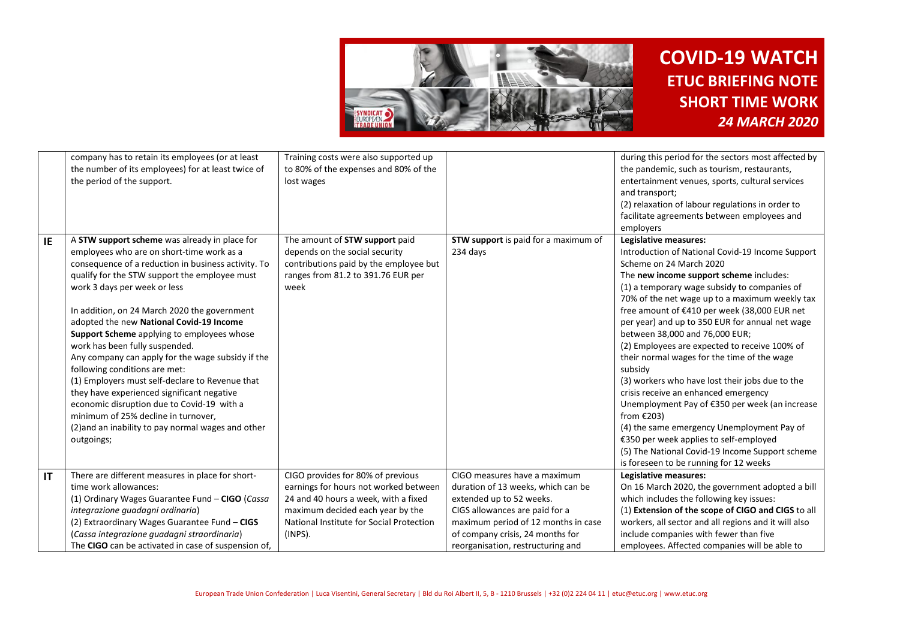

|    | company has to retain its employees (or at least<br>the number of its employees) for at least twice of<br>the period of the support.                                                                                                                                                                                                                                                                                                                                                                                                                                                                                                                                                                                                                           | Training costs were also supported up<br>to 80% of the expenses and 80% of the<br>lost wages                                                                                                                  |                                                                                                                                                                                                                                                  | during this period for the sectors most affected by<br>the pandemic, such as tourism, restaurants,<br>entertainment venues, sports, cultural services<br>and transport;<br>(2) relaxation of labour regulations in order to<br>facilitate agreements between employees and<br>employers                                                                                                                                                                                                                                                                                                                                                                                                                                                                                                                                                              |
|----|----------------------------------------------------------------------------------------------------------------------------------------------------------------------------------------------------------------------------------------------------------------------------------------------------------------------------------------------------------------------------------------------------------------------------------------------------------------------------------------------------------------------------------------------------------------------------------------------------------------------------------------------------------------------------------------------------------------------------------------------------------------|---------------------------------------------------------------------------------------------------------------------------------------------------------------------------------------------------------------|--------------------------------------------------------------------------------------------------------------------------------------------------------------------------------------------------------------------------------------------------|------------------------------------------------------------------------------------------------------------------------------------------------------------------------------------------------------------------------------------------------------------------------------------------------------------------------------------------------------------------------------------------------------------------------------------------------------------------------------------------------------------------------------------------------------------------------------------------------------------------------------------------------------------------------------------------------------------------------------------------------------------------------------------------------------------------------------------------------------|
| IE | A STW support scheme was already in place for<br>employees who are on short-time work as a<br>consequence of a reduction in business activity. To<br>qualify for the STW support the employee must<br>work 3 days per week or less<br>In addition, on 24 March 2020 the government<br>adopted the new National Covid-19 Income<br>Support Scheme applying to employees whose<br>work has been fully suspended.<br>Any company can apply for the wage subsidy if the<br>following conditions are met:<br>(1) Employers must self-declare to Revenue that<br>they have experienced significant negative<br>economic disruption due to Covid-19 with a<br>minimum of 25% decline in turnover,<br>(2) and an inability to pay normal wages and other<br>outgoings; | The amount of STW support paid<br>depends on the social security<br>contributions paid by the employee but<br>ranges from 81.2 to 391.76 EUR per<br>week                                                      | STW support is paid for a maximum of<br>234 days                                                                                                                                                                                                 | Legislative measures:<br>Introduction of National Covid-19 Income Support<br>Scheme on 24 March 2020<br>The new income support scheme includes:<br>(1) a temporary wage subsidy to companies of<br>70% of the net wage up to a maximum weekly tax<br>free amount of €410 per week (38,000 EUR net<br>per year) and up to 350 EUR for annual net wage<br>between 38,000 and 76,000 EUR;<br>(2) Employees are expected to receive 100% of<br>their normal wages for the time of the wage<br>subsidy<br>(3) workers who have lost their jobs due to the<br>crisis receive an enhanced emergency<br>Unemployment Pay of €350 per week (an increase<br>from $£203$ )<br>(4) the same emergency Unemployment Pay of<br>€350 per week applies to self-employed<br>(5) The National Covid-19 Income Support scheme<br>is foreseen to be running for 12 weeks |
| IT | There are different measures in place for short-<br>time work allowances:<br>(1) Ordinary Wages Guarantee Fund - CIGO (Cassa<br>integrazione guadagni ordinaria)<br>(2) Extraordinary Wages Guarantee Fund - CIGS<br>(Cassa integrazione guadagni straordinaria)<br>The CIGO can be activated in case of suspension of,                                                                                                                                                                                                                                                                                                                                                                                                                                        | CIGO provides for 80% of previous<br>earnings for hours not worked between<br>24 and 40 hours a week, with a fixed<br>maximum decided each year by the<br>National Institute for Social Protection<br>(INPS). | CIGO measures have a maximum<br>duration of 13 weeks, which can be<br>extended up to 52 weeks.<br>CIGS allowances are paid for a<br>maximum period of 12 months in case<br>of company crisis, 24 months for<br>reorganisation, restructuring and | Legislative measures:<br>On 16 March 2020, the government adopted a bill<br>which includes the following key issues:<br>(1) Extension of the scope of CIGO and CIGS to all<br>workers, all sector and all regions and it will also<br>include companies with fewer than five<br>employees. Affected companies will be able to                                                                                                                                                                                                                                                                                                                                                                                                                                                                                                                        |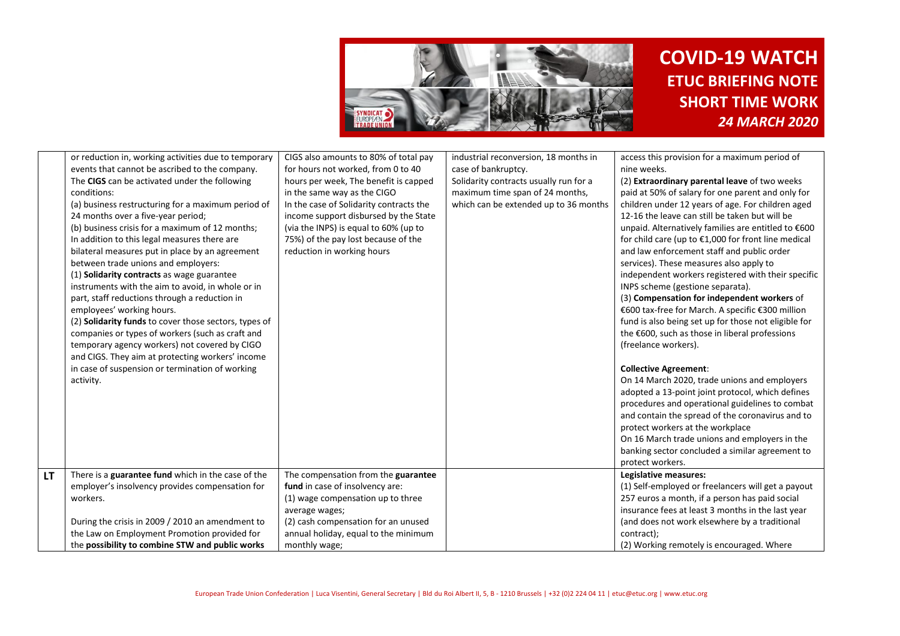

|    | or reduction in, working activities due to temporary<br>events that cannot be ascribed to the company.<br>The CIGS can be activated under the following                                                                                                                                                                                                                                                                                                                                                                                        | CIGS also amounts to 80% of total pay<br>for hours not worked, from 0 to 40<br>hours per week, The benefit is capped                                                                                                          | industrial reconversion, 18 months in<br>case of bankruptcy.<br>Solidarity contracts usually run for a | access this provision for a maximum period of<br>nine weeks.<br>(2) Extraordinary parental leave of two weeks                                                                                                                                                                                                                                                                                                                                                                                                                                                                                                          |
|----|------------------------------------------------------------------------------------------------------------------------------------------------------------------------------------------------------------------------------------------------------------------------------------------------------------------------------------------------------------------------------------------------------------------------------------------------------------------------------------------------------------------------------------------------|-------------------------------------------------------------------------------------------------------------------------------------------------------------------------------------------------------------------------------|--------------------------------------------------------------------------------------------------------|------------------------------------------------------------------------------------------------------------------------------------------------------------------------------------------------------------------------------------------------------------------------------------------------------------------------------------------------------------------------------------------------------------------------------------------------------------------------------------------------------------------------------------------------------------------------------------------------------------------------|
|    | conditions:<br>(a) business restructuring for a maximum period of<br>24 months over a five-year period;<br>(b) business crisis for a maximum of 12 months;<br>In addition to this legal measures there are<br>bilateral measures put in place by an agreement<br>between trade unions and employers:<br>(1) Solidarity contracts as wage guarantee<br>instruments with the aim to avoid, in whole or in<br>part, staff reductions through a reduction in<br>employees' working hours.<br>(2) Solidarity funds to cover those sectors, types of | in the same way as the CIGO<br>In the case of Solidarity contracts the<br>income support disbursed by the State<br>(via the INPS) is equal to 60% (up to<br>75%) of the pay lost because of the<br>reduction in working hours | maximum time span of 24 months,<br>which can be extended up to 36 months                               | paid at 50% of salary for one parent and only for<br>children under 12 years of age. For children aged<br>12-16 the leave can still be taken but will be<br>unpaid. Alternatively families are entitled to €600<br>for child care (up to $£1,000$ for front line medical<br>and law enforcement staff and public order<br>services). These measures also apply to<br>independent workers registered with their specific<br>INPS scheme (gestione separata).<br>(3) Compensation for independent workers of<br>€600 tax-free for March. A specific €300 million<br>fund is also being set up for those not eligible for |
|    | companies or types of workers (such as craft and<br>temporary agency workers) not covered by CIGO<br>and CIGS. They aim at protecting workers' income<br>in case of suspension or termination of working<br>activity.                                                                                                                                                                                                                                                                                                                          |                                                                                                                                                                                                                               |                                                                                                        | the €600, such as those in liberal professions<br>(freelance workers).<br><b>Collective Agreement:</b><br>On 14 March 2020, trade unions and employers<br>adopted a 13-point joint protocol, which defines<br>procedures and operational guidelines to combat<br>and contain the spread of the coronavirus and to<br>protect workers at the workplace<br>On 16 March trade unions and employers in the<br>banking sector concluded a similar agreement to<br>protect workers.                                                                                                                                          |
| LТ | There is a guarantee fund which in the case of the<br>employer's insolvency provides compensation for<br>workers.                                                                                                                                                                                                                                                                                                                                                                                                                              | The compensation from the guarantee<br>fund in case of insolvency are:<br>(1) wage compensation up to three                                                                                                                   |                                                                                                        | Legislative measures:<br>(1) Self-employed or freelancers will get a payout<br>257 euros a month, if a person has paid social<br>insurance fees at least 3 months in the last year                                                                                                                                                                                                                                                                                                                                                                                                                                     |
|    | During the crisis in 2009 / 2010 an amendment to<br>the Law on Employment Promotion provided for<br>the possibility to combine STW and public works                                                                                                                                                                                                                                                                                                                                                                                            | average wages;<br>(2) cash compensation for an unused<br>annual holiday, equal to the minimum<br>monthly wage;                                                                                                                |                                                                                                        | (and does not work elsewhere by a traditional<br>contract);<br>(2) Working remotely is encouraged. Where                                                                                                                                                                                                                                                                                                                                                                                                                                                                                                               |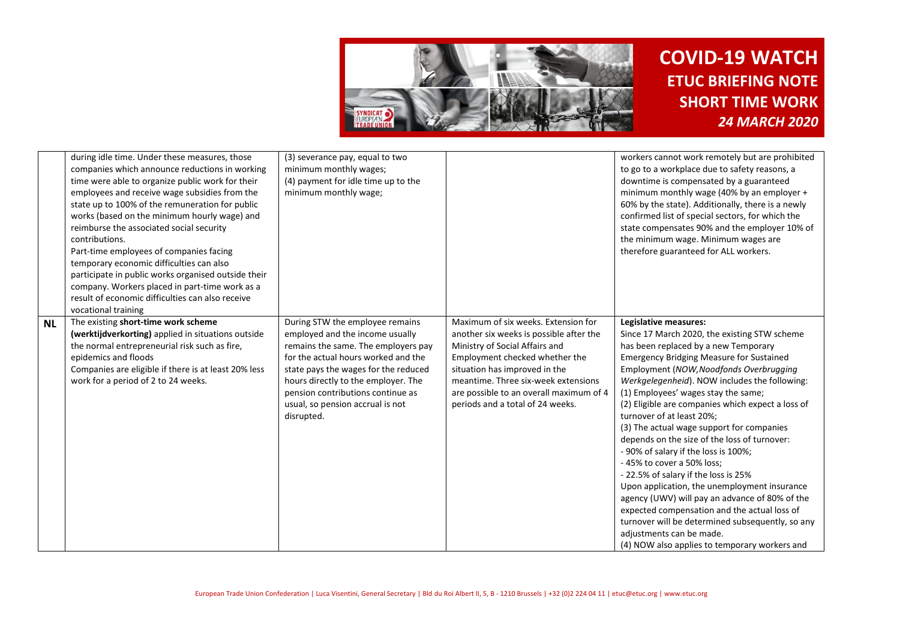

|           | during idle time. Under these measures, those<br>companies which announce reductions in working<br>time were able to organize public work for their<br>employees and receive wage subsidies from the<br>state up to 100% of the remuneration for public<br>works (based on the minimum hourly wage) and<br>reimburse the associated social security<br>contributions.<br>Part-time employees of companies facing<br>temporary economic difficulties can also<br>participate in public works organised outside their<br>company. Workers placed in part-time work as a<br>result of economic difficulties can also receive<br>vocational training | (3) severance pay, equal to two<br>minimum monthly wages;<br>(4) payment for idle time up to the<br>minimum monthly wage;                                                                                                                                                                                              |                                                                                                                                                                                                                                                                                                           | workers cannot work remotely but are prohibited<br>to go to a workplace due to safety reasons, a<br>downtime is compensated by a guaranteed<br>minimum monthly wage (40% by an employer +<br>60% by the state). Additionally, there is a newly<br>confirmed list of special sectors, for which the<br>state compensates 90% and the employer 10% of<br>the minimum wage. Minimum wages are<br>therefore guaranteed for ALL workers.                                                                                                                                                                                                                                                                                                                                                                                                                                                 |
|-----------|--------------------------------------------------------------------------------------------------------------------------------------------------------------------------------------------------------------------------------------------------------------------------------------------------------------------------------------------------------------------------------------------------------------------------------------------------------------------------------------------------------------------------------------------------------------------------------------------------------------------------------------------------|------------------------------------------------------------------------------------------------------------------------------------------------------------------------------------------------------------------------------------------------------------------------------------------------------------------------|-----------------------------------------------------------------------------------------------------------------------------------------------------------------------------------------------------------------------------------------------------------------------------------------------------------|-------------------------------------------------------------------------------------------------------------------------------------------------------------------------------------------------------------------------------------------------------------------------------------------------------------------------------------------------------------------------------------------------------------------------------------------------------------------------------------------------------------------------------------------------------------------------------------------------------------------------------------------------------------------------------------------------------------------------------------------------------------------------------------------------------------------------------------------------------------------------------------|
| <b>NL</b> | The existing short-time work scheme<br>(werktijdverkorting) applied in situations outside<br>the normal entrepreneurial risk such as fire,<br>epidemics and floods<br>Companies are eligible if there is at least 20% less<br>work for a period of 2 to 24 weeks.                                                                                                                                                                                                                                                                                                                                                                                | During STW the employee remains<br>employed and the income usually<br>remains the same. The employers pay<br>for the actual hours worked and the<br>state pays the wages for the reduced<br>hours directly to the employer. The<br>pension contributions continue as<br>usual, so pension accrual is not<br>disrupted. | Maximum of six weeks. Extension for<br>another six weeks is possible after the<br>Ministry of Social Affairs and<br>Employment checked whether the<br>situation has improved in the<br>meantime. Three six-week extensions<br>are possible to an overall maximum of 4<br>periods and a total of 24 weeks. | Legislative measures:<br>Since 17 March 2020, the existing STW scheme<br>has been replaced by a new Temporary<br><b>Emergency Bridging Measure for Sustained</b><br>Employment (NOW, Noodfonds Overbrugging<br>Werkgelegenheid). NOW includes the following:<br>(1) Employees' wages stay the same;<br>(2) Eligible are companies which expect a loss of<br>turnover of at least 20%;<br>(3) The actual wage support for companies<br>depends on the size of the loss of turnover:<br>- 90% of salary if the loss is 100%;<br>- 45% to cover a 50% loss;<br>- 22.5% of salary if the loss is 25%<br>Upon application, the unemployment insurance<br>agency (UWV) will pay an advance of 80% of the<br>expected compensation and the actual loss of<br>turnover will be determined subsequently, so any<br>adjustments can be made.<br>(4) NOW also applies to temporary workers and |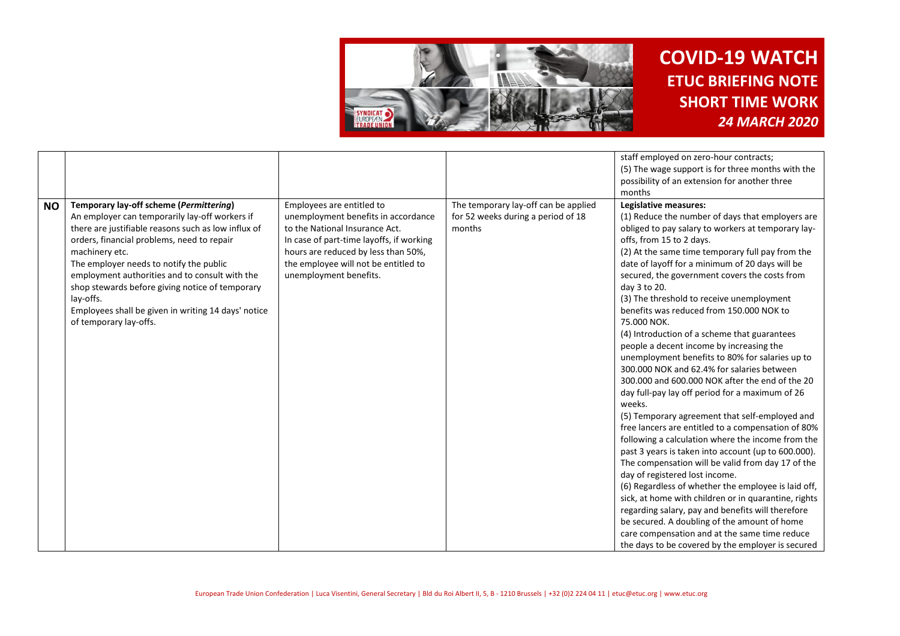

|           |                                                                                                                                                                                                                                                                                                                                                                                                                                                                |                                                                                                                                                                                                                                                         |                                                                                      | staff employed on zero-hour contracts;<br>(5) The wage support is for three months with the<br>possibility of an extension for another three<br>months                                                                                                                                                                                                                                                                                                                                                                                                                                                                                                                                                                                                                                                                                                                                                                                                                                                                                                                                                                                                                                                                                                                                                                                                                                        |
|-----------|----------------------------------------------------------------------------------------------------------------------------------------------------------------------------------------------------------------------------------------------------------------------------------------------------------------------------------------------------------------------------------------------------------------------------------------------------------------|---------------------------------------------------------------------------------------------------------------------------------------------------------------------------------------------------------------------------------------------------------|--------------------------------------------------------------------------------------|-----------------------------------------------------------------------------------------------------------------------------------------------------------------------------------------------------------------------------------------------------------------------------------------------------------------------------------------------------------------------------------------------------------------------------------------------------------------------------------------------------------------------------------------------------------------------------------------------------------------------------------------------------------------------------------------------------------------------------------------------------------------------------------------------------------------------------------------------------------------------------------------------------------------------------------------------------------------------------------------------------------------------------------------------------------------------------------------------------------------------------------------------------------------------------------------------------------------------------------------------------------------------------------------------------------------------------------------------------------------------------------------------|
| <b>NO</b> | Temporary lay-off scheme (Permittering)<br>An employer can temporarily lay-off workers if<br>there are justifiable reasons such as low influx of<br>orders, financial problems, need to repair<br>machinery etc.<br>The employer needs to notify the public<br>employment authorities and to consult with the<br>shop stewards before giving notice of temporary<br>lay-offs.<br>Employees shall be given in writing 14 days' notice<br>of temporary lay-offs. | Employees are entitled to<br>unemployment benefits in accordance<br>to the National Insurance Act.<br>In case of part-time layoffs, if working<br>hours are reduced by less than 50%,<br>the employee will not be entitled to<br>unemployment benefits. | The temporary lay-off can be applied<br>for 52 weeks during a period of 18<br>months | Legislative measures:<br>(1) Reduce the number of days that employers are<br>obliged to pay salary to workers at temporary lay-<br>offs, from 15 to 2 days.<br>(2) At the same time temporary full pay from the<br>date of layoff for a minimum of 20 days will be<br>secured, the government covers the costs from<br>day 3 to 20.<br>(3) The threshold to receive unemployment<br>benefits was reduced from 150,000 NOK to<br>75.000 NOK.<br>(4) Introduction of a scheme that guarantees<br>people a decent income by increasing the<br>unemployment benefits to 80% for salaries up to<br>300,000 NOK and 62.4% for salaries between<br>300,000 and 600,000 NOK after the end of the 20<br>day full-pay lay off period for a maximum of 26<br>weeks.<br>(5) Temporary agreement that self-employed and<br>free lancers are entitled to a compensation of 80%<br>following a calculation where the income from the<br>past 3 years is taken into account (up to 600.000).<br>The compensation will be valid from day 17 of the<br>day of registered lost income.<br>(6) Regardless of whether the employee is laid off,<br>sick, at home with children or in quarantine, rights<br>regarding salary, pay and benefits will therefore<br>be secured. A doubling of the amount of home<br>care compensation and at the same time reduce<br>the days to be covered by the employer is secured |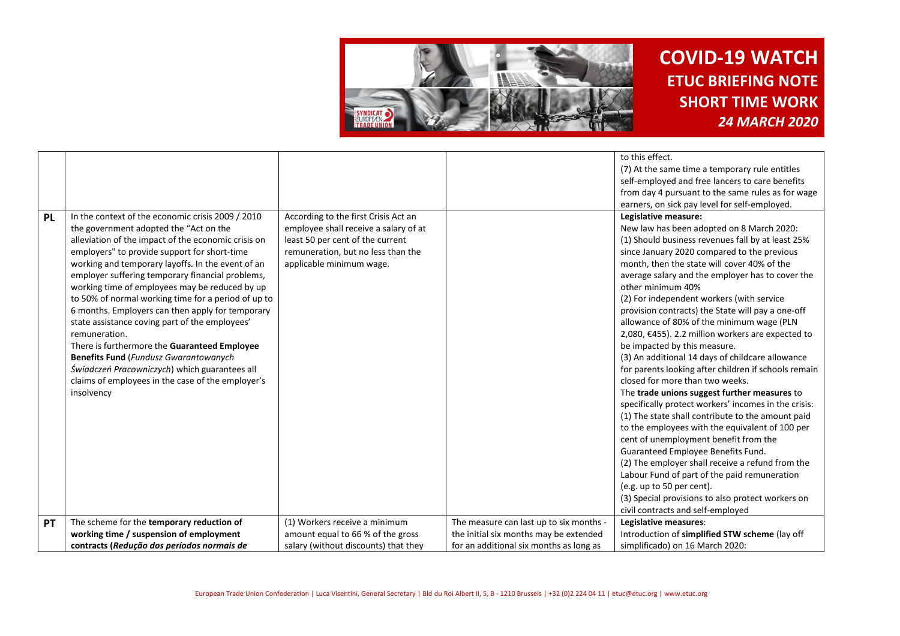

|           |                                                                                             |                                                                               |                                         | to this effect.                                                   |
|-----------|---------------------------------------------------------------------------------------------|-------------------------------------------------------------------------------|-----------------------------------------|-------------------------------------------------------------------|
|           |                                                                                             |                                                                               |                                         | (7) At the same time a temporary rule entitles                    |
|           |                                                                                             |                                                                               |                                         | self-employed and free lancers to care benefits                   |
|           |                                                                                             |                                                                               |                                         | from day 4 pursuant to the same rules as for wage                 |
|           |                                                                                             |                                                                               |                                         | earners, on sick pay level for self-employed.                     |
| <b>PL</b> | In the context of the economic crisis 2009 / 2010<br>the government adopted the "Act on the | According to the first Crisis Act an<br>employee shall receive a salary of at |                                         | Legislative measure:<br>New law has been adopted on 8 March 2020: |
|           | alleviation of the impact of the economic crisis on                                         | least 50 per cent of the current                                              |                                         | (1) Should business revenues fall by at least 25%                 |
|           | employers" to provide support for short-time                                                | remuneration, but no less than the                                            |                                         | since January 2020 compared to the previous                       |
|           | working and temporary layoffs. In the event of an                                           | applicable minimum wage.                                                      |                                         | month, then the state will cover 40% of the                       |
|           | employer suffering temporary financial problems,                                            |                                                                               |                                         | average salary and the employer has to cover the                  |
|           | working time of employees may be reduced by up                                              |                                                                               |                                         | other minimum 40%                                                 |
|           | to 50% of normal working time for a period of up to                                         |                                                                               |                                         | (2) For independent workers (with service                         |
|           | 6 months. Employers can then apply for temporary                                            |                                                                               |                                         | provision contracts) the State will pay a one-off                 |
|           | state assistance coving part of the employees'                                              |                                                                               |                                         | allowance of 80% of the minimum wage (PLN                         |
|           | remuneration.                                                                               |                                                                               |                                         | 2,080, €455). 2.2 million workers are expected to                 |
|           | There is furthermore the Guaranteed Employee                                                |                                                                               |                                         | be impacted by this measure.                                      |
|           | <b>Benefits Fund</b> (Fundusz Gwarantowanych                                                |                                                                               |                                         | (3) An additional 14 days of childcare allowance                  |
|           | Świadczeń Pracowniczych) which guarantees all                                               |                                                                               |                                         | for parents looking after children if schools remain              |
|           | claims of employees in the case of the employer's                                           |                                                                               |                                         | closed for more than two weeks.                                   |
|           | insolvency                                                                                  |                                                                               |                                         | The trade unions suggest further measures to                      |
|           |                                                                                             |                                                                               |                                         | specifically protect workers' incomes in the crisis:              |
|           |                                                                                             |                                                                               |                                         | (1) The state shall contribute to the amount paid                 |
|           |                                                                                             |                                                                               |                                         | to the employees with the equivalent of 100 per                   |
|           |                                                                                             |                                                                               |                                         | cent of unemployment benefit from the                             |
|           |                                                                                             |                                                                               |                                         | Guaranteed Employee Benefits Fund.                                |
|           |                                                                                             |                                                                               |                                         | (2) The employer shall receive a refund from the                  |
|           |                                                                                             |                                                                               |                                         | Labour Fund of part of the paid remuneration                      |
|           |                                                                                             |                                                                               |                                         | (e.g. up to 50 per cent).                                         |
|           |                                                                                             |                                                                               |                                         | (3) Special provisions to also protect workers on                 |
|           |                                                                                             |                                                                               |                                         | civil contracts and self-employed                                 |
| PT        | The scheme for the temporary reduction of                                                   | (1) Workers receive a minimum                                                 | The measure can last up to six months - | Legislative measures:                                             |
|           | working time / suspension of employment                                                     | amount equal to 66 % of the gross                                             | the initial six months may be extended  | Introduction of simplified STW scheme (lay off                    |
|           | contracts (Redução dos períodos normais de                                                  | salary (without discounts) that they                                          | for an additional six months as long as | simplificado) on 16 March 2020:                                   |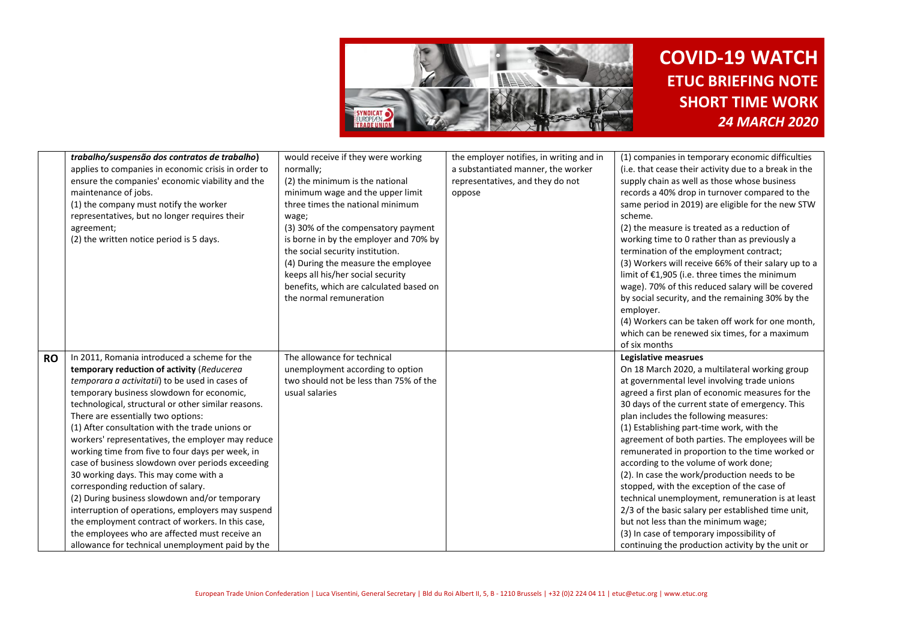

|           | trabalho/suspensão dos contratos de trabalho)<br>applies to companies in economic crisis in order to<br>ensure the companies' economic viability and the<br>maintenance of jobs.<br>(1) the company must notify the worker<br>representatives, but no longer requires their<br>agreement;<br>(2) the written notice period is 5 days.                                                                                                                                                                                                                                                                                                                                                                                                                                                                                                                   | would receive if they were working<br>normally;<br>(2) the minimum is the national<br>minimum wage and the upper limit<br>three times the national minimum<br>wage;<br>(3) 30% of the compensatory payment<br>is borne in by the employer and 70% by<br>the social security institution.<br>(4) During the measure the employee<br>keeps all his/her social security<br>benefits, which are calculated based on<br>the normal remuneration | the employer notifies, in writing and in<br>a substantiated manner, the worker<br>representatives, and they do not<br>oppose | (1) companies in temporary economic difficulties<br>(i.e. that cease their activity due to a break in the<br>supply chain as well as those whose business<br>records a 40% drop in turnover compared to the<br>same period in 2019) are eligible for the new STW<br>scheme.<br>(2) the measure is treated as a reduction of<br>working time to 0 rather than as previously a<br>termination of the employment contract;<br>(3) Workers will receive 66% of their salary up to a<br>limit of €1,905 (i.e. three times the minimum<br>wage). 70% of this reduced salary will be covered<br>by social security, and the remaining 30% by the                                                                                                                                                                                   |
|-----------|---------------------------------------------------------------------------------------------------------------------------------------------------------------------------------------------------------------------------------------------------------------------------------------------------------------------------------------------------------------------------------------------------------------------------------------------------------------------------------------------------------------------------------------------------------------------------------------------------------------------------------------------------------------------------------------------------------------------------------------------------------------------------------------------------------------------------------------------------------|--------------------------------------------------------------------------------------------------------------------------------------------------------------------------------------------------------------------------------------------------------------------------------------------------------------------------------------------------------------------------------------------------------------------------------------------|------------------------------------------------------------------------------------------------------------------------------|-----------------------------------------------------------------------------------------------------------------------------------------------------------------------------------------------------------------------------------------------------------------------------------------------------------------------------------------------------------------------------------------------------------------------------------------------------------------------------------------------------------------------------------------------------------------------------------------------------------------------------------------------------------------------------------------------------------------------------------------------------------------------------------------------------------------------------|
|           |                                                                                                                                                                                                                                                                                                                                                                                                                                                                                                                                                                                                                                                                                                                                                                                                                                                         |                                                                                                                                                                                                                                                                                                                                                                                                                                            |                                                                                                                              | employer.<br>(4) Workers can be taken off work for one month,<br>which can be renewed six times, for a maximum<br>of six months                                                                                                                                                                                                                                                                                                                                                                                                                                                                                                                                                                                                                                                                                             |
| <b>RO</b> | In 2011. Romania introduced a scheme for the<br>temporary reduction of activity (Reducerea<br>temporara a activitatii) to be used in cases of<br>temporary business slowdown for economic,<br>technological, structural or other similar reasons.<br>There are essentially two options:<br>(1) After consultation with the trade unions or<br>workers' representatives, the employer may reduce<br>working time from five to four days per week, in<br>case of business slowdown over periods exceeding<br>30 working days. This may come with a<br>corresponding reduction of salary.<br>(2) During business slowdown and/or temporary<br>interruption of operations, employers may suspend<br>the employment contract of workers. In this case,<br>the employees who are affected must receive an<br>allowance for technical unemployment paid by the | The allowance for technical<br>unemployment according to option<br>two should not be less than 75% of the<br>usual salaries                                                                                                                                                                                                                                                                                                                |                                                                                                                              | <b>Legislative measrues</b><br>On 18 March 2020, a multilateral working group<br>at governmental level involving trade unions<br>agreed a first plan of economic measures for the<br>30 days of the current state of emergency. This<br>plan includes the following measures:<br>(1) Establishing part-time work, with the<br>agreement of both parties. The employees will be<br>remunerated in proportion to the time worked or<br>according to the volume of work done;<br>(2). In case the work/production needs to be<br>stopped, with the exception of the case of<br>technical unemployment, remuneration is at least<br>2/3 of the basic salary per established time unit,<br>but not less than the minimum wage;<br>(3) In case of temporary impossibility of<br>continuing the production activity by the unit or |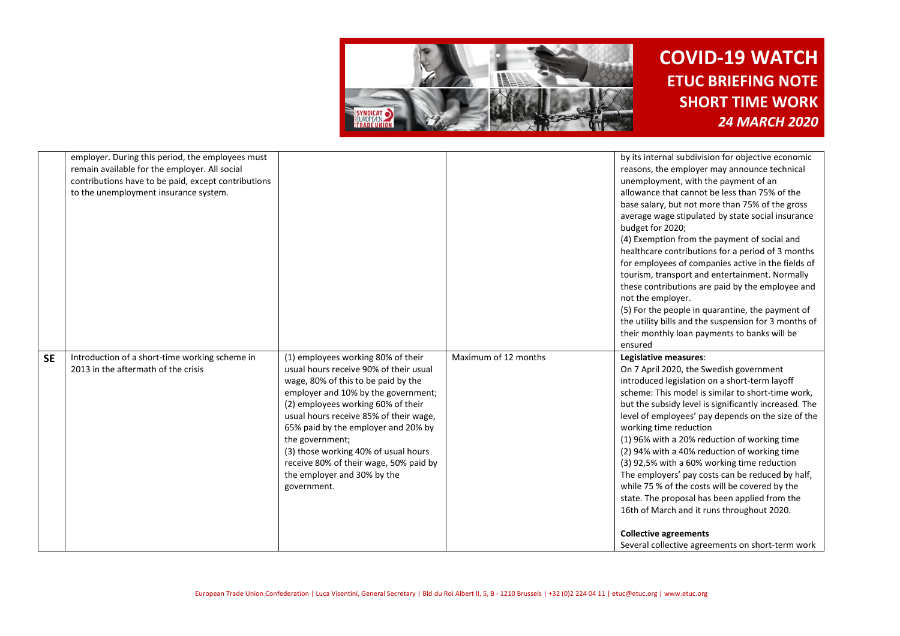

|           | employer. During this period, the employees must<br>remain available for the employer. All social<br>contributions have to be paid, except contributions<br>to the unemployment insurance system. |                                                                                                                                                                                                                                                                                                                                                                                                                                      |                      | by its internal subdivision for objective economic<br>reasons, the employer may announce technical<br>unemployment, with the payment of an<br>allowance that cannot be less than 75% of the<br>base salary, but not more than 75% of the gross<br>average wage stipulated by state social insurance<br>budget for 2020;<br>(4) Exemption from the payment of social and<br>healthcare contributions for a period of 3 months<br>for employees of companies active in the fields of<br>tourism, transport and entertainment. Normally<br>these contributions are paid by the employee and<br>not the employer.<br>(5) For the people in quarantine, the payment of<br>the utility bills and the suspension for 3 months of<br>their monthly loan payments to banks will be<br>ensured |
|-----------|---------------------------------------------------------------------------------------------------------------------------------------------------------------------------------------------------|--------------------------------------------------------------------------------------------------------------------------------------------------------------------------------------------------------------------------------------------------------------------------------------------------------------------------------------------------------------------------------------------------------------------------------------|----------------------|--------------------------------------------------------------------------------------------------------------------------------------------------------------------------------------------------------------------------------------------------------------------------------------------------------------------------------------------------------------------------------------------------------------------------------------------------------------------------------------------------------------------------------------------------------------------------------------------------------------------------------------------------------------------------------------------------------------------------------------------------------------------------------------|
| <b>SE</b> | Introduction of a short-time working scheme in<br>2013 in the aftermath of the crisis                                                                                                             | (1) employees working 80% of their<br>usual hours receive 90% of their usual<br>wage, 80% of this to be paid by the<br>employer and 10% by the government;<br>(2) employees working 60% of their<br>usual hours receive 85% of their wage,<br>65% paid by the employer and 20% by<br>the government;<br>(3) those working 40% of usual hours<br>receive 80% of their wage, 50% paid by<br>the employer and 30% by the<br>government. | Maximum of 12 months | Legislative measures:<br>On 7 April 2020, the Swedish government<br>introduced legislation on a short-term layoff<br>scheme: This model is similar to short-time work,<br>but the subsidy level is significantly increased. The<br>level of employees' pay depends on the size of the<br>working time reduction<br>(1) 96% with a 20% reduction of working time<br>(2) 94% with a 40% reduction of working time<br>(3) 92,5% with a 60% working time reduction<br>The employers' pay costs can be reduced by half,<br>while 75 % of the costs will be covered by the<br>state. The proposal has been applied from the<br>16th of March and it runs throughout 2020.<br><b>Collective agreements</b><br>Several collective agreements on short-term work                              |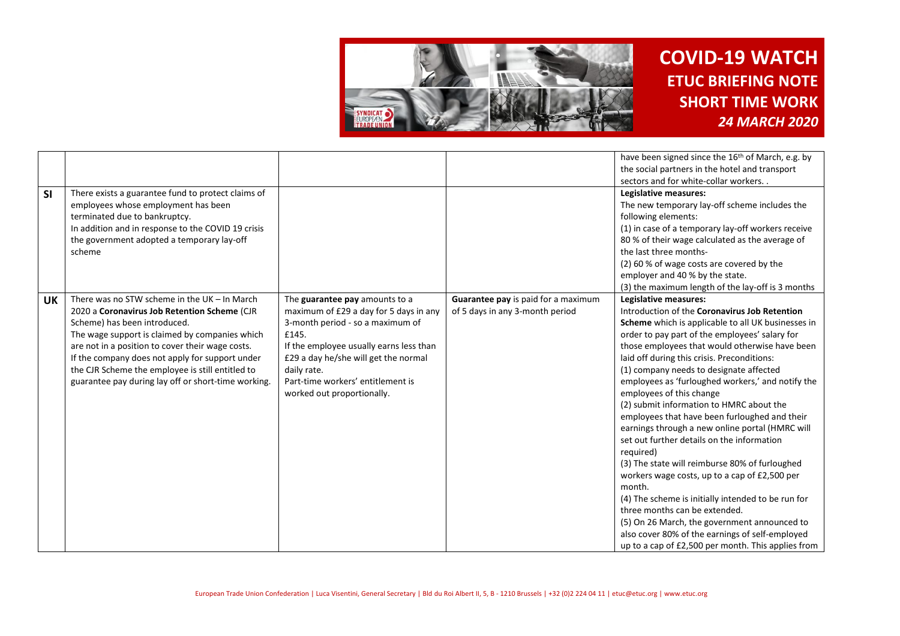

|           |                                                     |                                         |                                     | have been signed since the 16 <sup>th</sup> of March, e.g. by |
|-----------|-----------------------------------------------------|-----------------------------------------|-------------------------------------|---------------------------------------------------------------|
|           |                                                     |                                         |                                     | the social partners in the hotel and transport                |
|           |                                                     |                                         |                                     | sectors and for white-collar workers                          |
| SI        | There exists a guarantee fund to protect claims of  |                                         |                                     | Legislative measures:                                         |
|           | employees whose employment has been                 |                                         |                                     | The new temporary lay-off scheme includes the                 |
|           | terminated due to bankruptcy.                       |                                         |                                     | following elements:                                           |
|           | In addition and in response to the COVID 19 crisis  |                                         |                                     | (1) in case of a temporary lay-off workers receive            |
|           | the government adopted a temporary lay-off          |                                         |                                     | 80 % of their wage calculated as the average of               |
|           | scheme                                              |                                         |                                     | the last three months-                                        |
|           |                                                     |                                         |                                     | (2) 60 % of wage costs are covered by the                     |
|           |                                                     |                                         |                                     | employer and 40 % by the state.                               |
|           |                                                     |                                         |                                     | (3) the maximum length of the lay-off is 3 months             |
| <b>UK</b> | There was no STW scheme in the UK $-$ In March      | The guarantee pay amounts to a          | Guarantee pay is paid for a maximum | Legislative measures:                                         |
|           | 2020 a Coronavirus Job Retention Scheme (CJR        | maximum of £29 a day for 5 days in any  | of 5 days in any 3-month period     | Introduction of the Coronavirus Job Retention                 |
|           | Scheme) has been introduced.                        | 3-month period - so a maximum of        |                                     | Scheme which is applicable to all UK businesses in            |
|           | The wage support is claimed by companies which      | £145.                                   |                                     | order to pay part of the employees' salary for                |
|           | are not in a position to cover their wage costs.    | If the employee usually earns less than |                                     | those employees that would otherwise have been                |
|           | If the company does not apply for support under     | £29 a day he/she will get the normal    |                                     | laid off during this crisis. Preconditions:                   |
|           | the CJR Scheme the employee is still entitled to    | daily rate.                             |                                     | (1) company needs to designate affected                       |
|           | guarantee pay during lay off or short-time working. | Part-time workers' entitlement is       |                                     | employees as 'furloughed workers,' and notify the             |
|           |                                                     | worked out proportionally.              |                                     | employees of this change                                      |
|           |                                                     |                                         |                                     | (2) submit information to HMRC about the                      |
|           |                                                     |                                         |                                     | employees that have been furloughed and their                 |
|           |                                                     |                                         |                                     | earnings through a new online portal (HMRC will               |
|           |                                                     |                                         |                                     | set out further details on the information                    |
|           |                                                     |                                         |                                     | required)                                                     |
|           |                                                     |                                         |                                     | (3) The state will reimburse 80% of furloughed                |
|           |                                                     |                                         |                                     | workers wage costs, up to a cap of £2,500 per                 |
|           |                                                     |                                         |                                     | month.                                                        |
|           |                                                     |                                         |                                     | (4) The scheme is initially intended to be run for            |
|           |                                                     |                                         |                                     | three months can be extended.                                 |
|           |                                                     |                                         |                                     | (5) On 26 March, the government announced to                  |
|           |                                                     |                                         |                                     | also cover 80% of the earnings of self-employed               |
|           |                                                     |                                         |                                     | up to a cap of £2,500 per month. This applies from            |